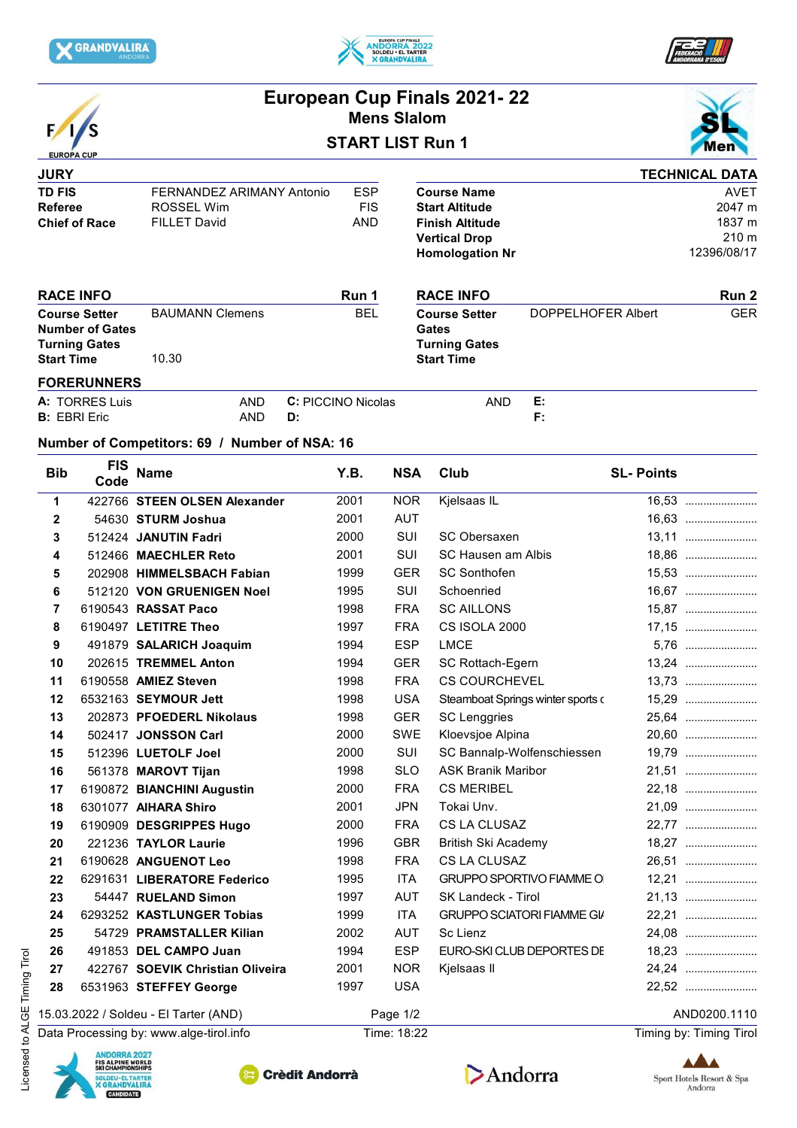





|                                                                                             |                    |                                                                |                          |                         | European Cup Finals 2021-22<br><b>Mens Slalom</b> |                                                                                                         |                                                                                                                         |                                   |                  |                                                         |
|---------------------------------------------------------------------------------------------|--------------------|----------------------------------------------------------------|--------------------------|-------------------------|---------------------------------------------------|---------------------------------------------------------------------------------------------------------|-------------------------------------------------------------------------------------------------------------------------|-----------------------------------|------------------|---------------------------------------------------------|
| <b>EUROPA CUP</b>                                                                           |                    |                                                                |                          | <b>START LIST Run 1</b> | nei                                               |                                                                                                         |                                                                                                                         |                                   |                  |                                                         |
| <b>JURY</b>                                                                                 |                    |                                                                |                          |                         |                                                   |                                                                                                         |                                                                                                                         |                                   |                  | <b>TECHNICAL DATA</b>                                   |
| <b>TD FIS</b><br><b>Referee</b><br><b>Chief of Race</b>                                     |                    | FERNANDEZ ARIMANY Antonio<br>ROSSEL Wim<br><b>FILLET David</b> |                          |                         | <b>ESP</b><br><b>FIS</b><br><b>AND</b>            |                                                                                                         | <b>Course Name</b><br><b>Start Altitude</b><br><b>Finish Altitude</b><br><b>Vertical Drop</b><br><b>Homologation Nr</b> |                                   |                  | <b>AVET</b><br>2047 m<br>1837 m<br>210 m<br>12396/08/17 |
| <b>RACE INFO</b>                                                                            |                    | <b>BAUMANN Clemens</b><br>10.30                                |                          |                         | Run 1                                             |                                                                                                         | <b>RACE INFO</b>                                                                                                        |                                   |                  | Run 2<br><b>GER</b>                                     |
| <b>Course Setter</b><br><b>Number of Gates</b><br><b>Turning Gates</b><br><b>Start Time</b> |                    |                                                                |                          |                         | <b>BEL</b>                                        | <b>Course Setter</b><br>DOPPELHOFER Albert<br><b>Gates</b><br><b>Turning Gates</b><br><b>Start Time</b> |                                                                                                                         |                                   |                  |                                                         |
|                                                                                             |                    |                                                                |                          |                         |                                                   |                                                                                                         |                                                                                                                         |                                   |                  |                                                         |
| <b>FORERUNNERS</b><br>A: TORRES Luis<br><b>B:</b> EBRI Eric                                 |                    |                                                                | <b>AND</b><br><b>AND</b> | D:                      | C: PICCINO Nicolas                                |                                                                                                         | <b>AND</b>                                                                                                              | Е:<br>F:                          |                  |                                                         |
|                                                                                             |                    | Number of Competitors: 69 / Number of NSA: 16                  |                          |                         |                                                   |                                                                                                         |                                                                                                                         |                                   |                  |                                                         |
| <b>Bib</b>                                                                                  | <b>FIS</b><br>Code | <b>Name</b>                                                    |                          |                         | Y.B.                                              | <b>NSA</b>                                                                                              | Club                                                                                                                    |                                   | <b>SL-Points</b> |                                                         |
| 1                                                                                           |                    | 422766 STEEN OLSEN Alexander                                   |                          |                         | 2001                                              | <b>NOR</b>                                                                                              | Kjelsaas IL                                                                                                             |                                   |                  | 16,53                                                   |
| $\mathbf{2}$                                                                                |                    | 54630 STURM Joshua                                             |                          |                         | 2001                                              | <b>AUT</b>                                                                                              |                                                                                                                         |                                   |                  | 16,63                                                   |
| 3                                                                                           |                    | 512424 JANUTIN Fadri                                           |                          |                         | 2000                                              | SUI                                                                                                     | SC Obersaxen                                                                                                            |                                   |                  | 13,11                                                   |
| 4                                                                                           |                    | 512466 MAECHLER Reto                                           |                          |                         | 2001                                              | SUI                                                                                                     | SC Hausen am Albis                                                                                                      |                                   |                  | 18,86                                                   |
| 5                                                                                           |                    | 202908 HIMMELSBACH Fabian                                      |                          |                         | 1999                                              | <b>GER</b>                                                                                              | <b>SC Sonthofen</b>                                                                                                     |                                   |                  | 15,53                                                   |
| 6                                                                                           |                    | 512120 VON GRUENIGEN Noel                                      |                          |                         | 1995                                              | SUI                                                                                                     | Schoenried                                                                                                              |                                   |                  | 16,67                                                   |
| 7                                                                                           |                    | 6190543 RASSAT Paco                                            |                          |                         | 1998                                              | <b>FRA</b>                                                                                              | <b>SC AILLONS</b>                                                                                                       |                                   |                  | 15,87                                                   |
| 8                                                                                           |                    | 6190497 LETITRE Theo                                           |                          |                         | 1997                                              | <b>FRA</b>                                                                                              | CS ISOLA 2000                                                                                                           |                                   |                  | 17,15                                                   |
| 9                                                                                           |                    | 491879 SALARICH Joaquim                                        |                          |                         | 1994                                              | <b>ESP</b>                                                                                              | <b>LMCE</b>                                                                                                             |                                   |                  |                                                         |
| 10                                                                                          |                    | 202615 TREMMEL Anton                                           |                          |                         | 1994                                              | <b>GER</b>                                                                                              | SC Rottach-Egern                                                                                                        |                                   |                  |                                                         |
| 11                                                                                          |                    | 6190558 AMIEZ Steven                                           |                          |                         | 1998                                              | <b>FRA</b>                                                                                              | <b>CS COURCHEVEL</b>                                                                                                    |                                   |                  | 13,73                                                   |
| 12                                                                                          |                    | 6532163 SEYMOUR Jett                                           |                          |                         | 1998                                              | <b>USA</b>                                                                                              |                                                                                                                         | Steamboat Springs winter sports o |                  | 15,29                                                   |
| 13                                                                                          |                    | 202873 PFOEDERL Nikolaus                                       |                          |                         | 1998                                              | <b>GER</b>                                                                                              | <b>SC Lenggries</b>                                                                                                     |                                   |                  | 25,64                                                   |
| 14                                                                                          |                    | 502417 JONSSON Carl                                            |                          |                         | 2000                                              | <b>SWE</b>                                                                                              | Kloevsjoe Alpina                                                                                                        |                                   |                  | 20,60                                                   |
| 15                                                                                          |                    | 512396 LUETOLF Joel                                            |                          |                         | 2000                                              | SUI                                                                                                     |                                                                                                                         | SC Bannalp-Wolfenschiessen        |                  | 19,79                                                   |
| 16                                                                                          |                    | 561378 MAROVT Tijan                                            |                          |                         | 1998                                              | <b>SLO</b>                                                                                              | <b>ASK Branik Maribor</b>                                                                                               |                                   |                  | 21,51                                                   |
| 17                                                                                          |                    | 6190872 BIANCHINI Augustin                                     |                          |                         | 2000                                              | <b>FRA</b>                                                                                              | <b>CS MERIBEL</b>                                                                                                       |                                   |                  | 22,18                                                   |
| 18                                                                                          |                    | 6301077 AIHARA Shiro                                           |                          |                         | 2001                                              | <b>JPN</b>                                                                                              | Tokai Unv.                                                                                                              |                                   |                  | 21,09                                                   |
| 19                                                                                          |                    | 6190909 DESGRIPPES Hugo                                        |                          |                         | 2000                                              | <b>FRA</b>                                                                                              | CS LA CLUSAZ                                                                                                            |                                   |                  | 22,77                                                   |
| 20                                                                                          |                    | 221236 TAYLOR Laurie                                           |                          |                         | 1996                                              | GBR                                                                                                     | British Ski Academy                                                                                                     |                                   |                  | 18,27                                                   |
| 21                                                                                          |                    | 6190628 ANGUENOT Leo                                           |                          |                         | 1998                                              | <b>FRA</b>                                                                                              | CS LA CLUSAZ                                                                                                            |                                   |                  | 26,51                                                   |
| 22                                                                                          |                    | 6291631 LIBERATORE Federico                                    |                          |                         | 1995                                              | ITA                                                                                                     | <b>GRUPPO SPORTIVO FIAMME O</b>                                                                                         |                                   |                  | 12,21                                                   |
| 23                                                                                          |                    | 54447 RUELAND Simon                                            |                          |                         | 1997                                              | AUT                                                                                                     | SK Landeck - Tirol                                                                                                      |                                   |                  | 21,13                                                   |
| 24                                                                                          |                    | 6293252 KASTLUNGER Tobias                                      |                          |                         | 1999                                              | ITA                                                                                                     |                                                                                                                         | <b>GRUPPO SCIATORI FIAMME GI/</b> |                  | 22,21                                                   |
| 25                                                                                          |                    | 54729 PRAMSTALLER Kilian                                       |                          |                         | 2002                                              | AUT                                                                                                     | Sc Lienz                                                                                                                |                                   |                  | 24,08                                                   |
| 26                                                                                          |                    | 491853 DEL CAMPO Juan                                          |                          |                         | 1994                                              | <b>ESP</b>                                                                                              |                                                                                                                         | EURO-SKI CLUB DEPORTES DE         |                  | 18,23                                                   |
| 27                                                                                          |                    | 422767 SOEVIK Christian Oliveira                               |                          |                         | 2001                                              | <b>NOR</b>                                                                                              | Kjelsaas II                                                                                                             |                                   |                  | 24,24                                                   |
| 28                                                                                          |                    | 6531963 STEFFEY George                                         |                          |                         | 1997                                              | <b>USA</b>                                                                                              |                                                                                                                         |                                   |                  | 22,52                                                   |

Data Processing by: www.alge-tirol.info Time: 18:22 Time: 18:22 Timing by: Timing by: Timing Tirol